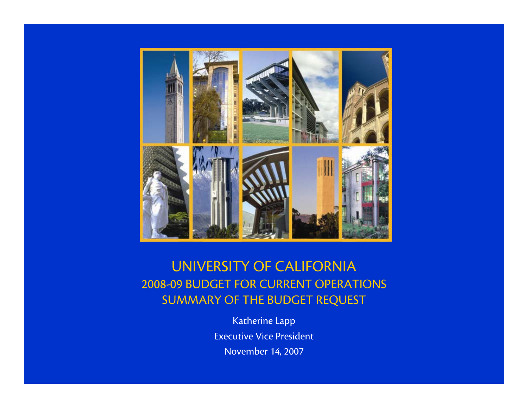

#### UNIVERSITY OF CALIFORNIA 2008-09 BUDGET FOR CURRENT OPERATIONS SUMMARY OF THE BUDGET REQUEST

Katherine Lapp Executive Vice President November 14, 2007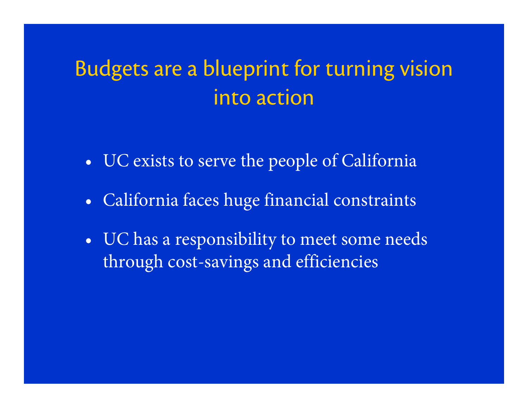#### Budgets are a blueprint for turning vision into action

- •UC exists to serve the people of California
- $\bullet$ California faces huge financial constraints
- $\bullet$  UC has a responsibility to meet some needs through cost-savings and efficiencies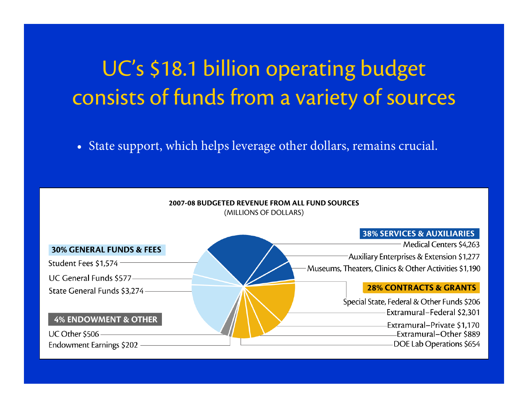# UC's \$18.1 billion operating budget consists of funds from a variety of sources

• State support, which helps leverage other dollars, remains crucial.



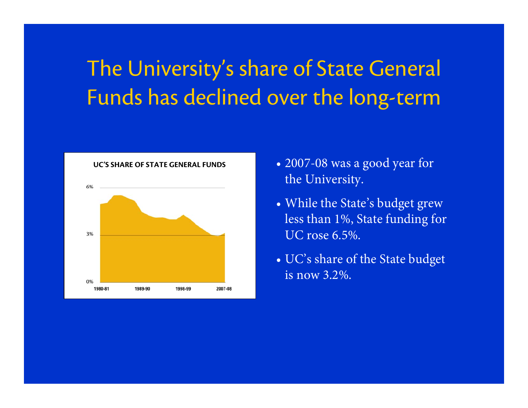# The University's share of State General Funds has declined over the long-term



- 2007-08 was a good year for the University.
- While the State's budget grew less than 1%, State funding for UC rose 6.5%.
- UC's share of the State budget is now 3.2%.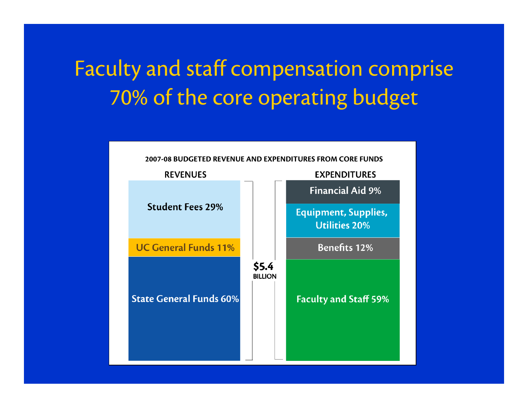# Faculty and staff compensation comprise 70% of the core operating budget

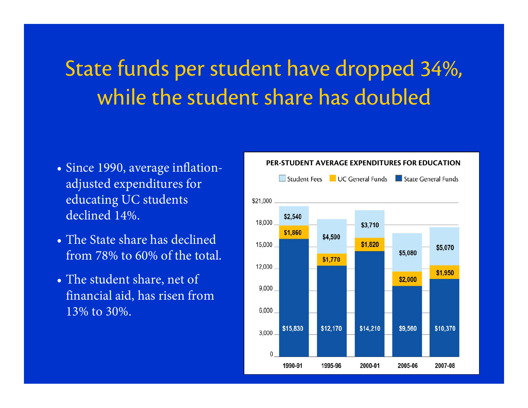## State funds per student have dropped 34%, while the student share has doubled

- Since 1990, average inflationadjusted expenditures for educating UC students declined 14%.
- The State share has declined from 78% to 60% of the total.
- The student share, net of financial aid, has risen from 13% to 30%.

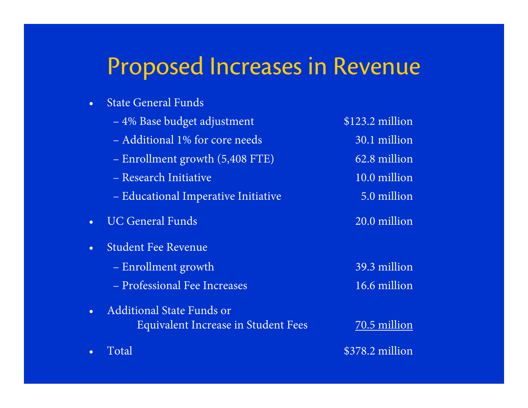#### Proposed Increases in Revenue

| <b>State General Funds</b>          |                 |
|-------------------------------------|-----------------|
| - 4% Base budget adjustment         | \$123.2 million |
| - Additional 1% for core needs      | 30.1 million    |
| - Enrollment growth (5,408 FTE)     | 62.8 million    |
| - Research Initiative               | 10.0 million    |
| - Educational Imperative Initiative | 5.0 million     |
| <b>UC General Funds</b>             | 20.0 million    |
| <b>Student Fee Revenue</b>          |                 |
| - Enrollment growth                 | 39.3 million    |
| - Professional Fee Increases        | 16.6 million    |
| <b>Additional State Funds or</b>    |                 |

•

Equivalent Increase in Student Fees 70.5 million Total \$378.2 million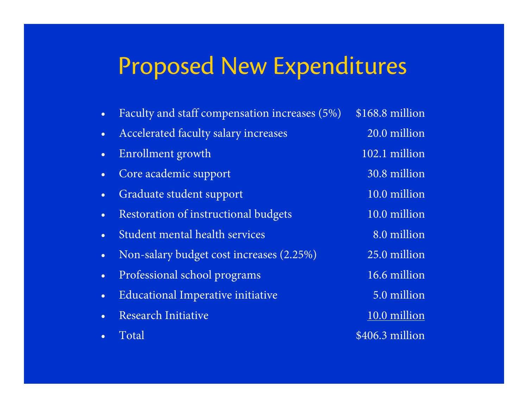#### Proposed New Expenditures

•Faculty and staff compensation increases (5%) \$168.8 million •Accelerated faculty salary increases 20.0 million •Enrollment growth 102.1 million • Core academic support 30.8 million •Graduate student support 10.0 million •Restoration of instructional budgets 10.0 million •Student mental health services 8.0 million • Non-salary budget cost increases (2.25%) 25.0 million •Professional school programs 16.6 million •Educational Imperative initiative 5.0 million •Research Initiative 10.0 million •Total  $$406.3$  million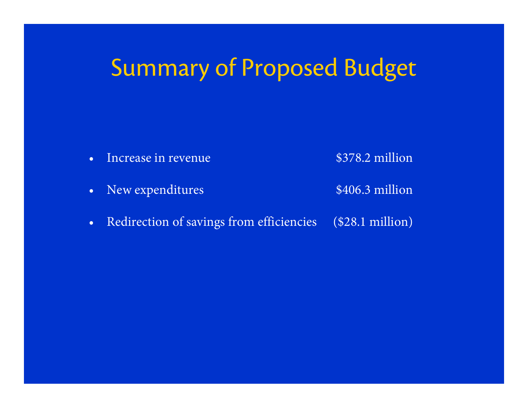# Summary of Proposed Budget



•New expenditures \$406.3 million

•Redirection of savings from efficiencies (\$28.1 million)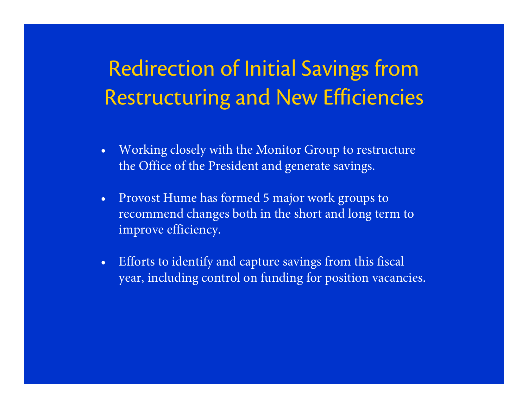## Redirection of Initial Savings from Restructuring and New Efficiencies

- • Working closely with the Monitor Group to restructure the Office of the President and generate savings.
- • Provost Hume has formed 5 major work groups to recommend changes both in the short and long term to improve efficiency.
- • Efforts to identify and capture savings from this fiscal year, including control on funding for position vacancies.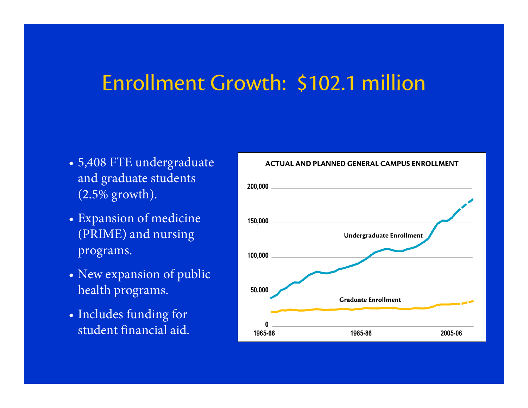#### Enrollment Growth: \$102.1 million

- 5,408 FTE undergraduate and graduate students (2.5% growth).
- Expansion of medicine (PRIME) and nursing programs.
- New expansion of public health programs.
- Includes funding for student financial aid.



**ACTUAL AND PLANNED GENERAL CAMPUS ENROLLMENT**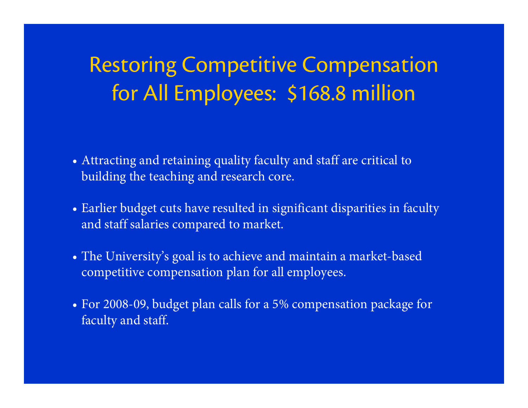#### Restoring Competitive Compensation for All Employees: \$168.8 million

- Attracting and retaining quality faculty and staff are critical to building the teaching and research core.
- Earlier budget cuts have resulted in significant disparities in faculty and staff salaries compared to market.
- The University's goal is to achieve and maintain a market-based competitive compensation plan for all employees.
- For 2008-09, budget plan calls for a 5% compensation package for faculty and staff.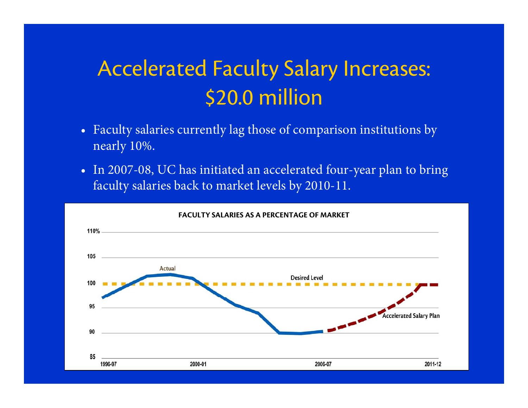#### Accelerated Faculty Salary Increases: \$20.0 million

- Faculty salaries currently lag those of comparison institutions by nearly 10%.
- In 2007-08, UC has initiated an accelerated four-year plan to bring faculty salaries back to market levels by 2010-11.

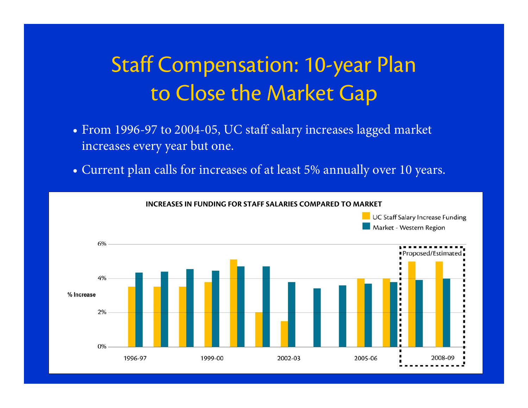## Staff Compensation: 10-year Plan to Close the Market Gap

- From 1996-97 to 2004-05, UC staff salary increases lagged market increases every year but one.
- Current plan calls for increases of at least 5% annually over 10 years.

**INCREASES IN FUNDING FOR STAFF SALARIES COMPARED TO MARKET**

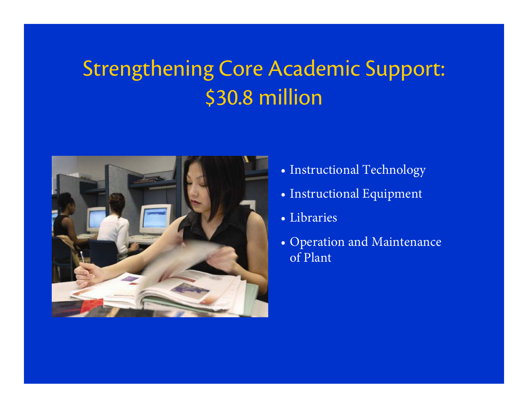## Strengthening Core Academic Support: \$30.8 million



- Instructional Technology
- Instructional Equipment
- Libraries
- Operation and Maintenance of Plant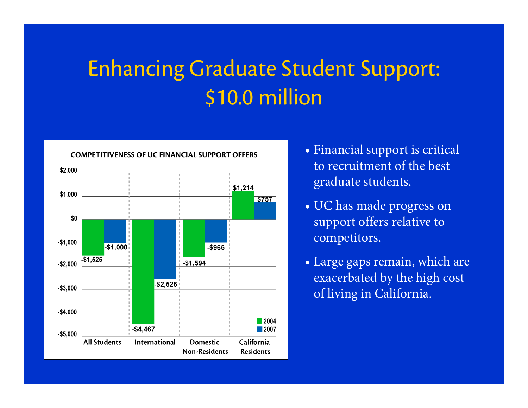## Enhancing Graduate Student Support: \$10.0 million



**COMPETITIVENESS OF UC FINANCIAL SUPPORT OFFERS**

- Financial support is critical to recruitment of the best graduate students.
- UC has made progress on support offers relative to competitors.
- Large gaps remain, which are exacerbated by the high cost of living in California.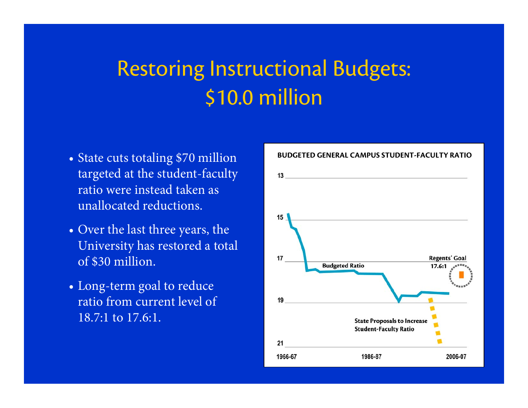#### Restoring Instructional Budgets: \$10.0 million

- State cuts totaling \$70 million targeted at the student-faculty ratio were instead taken as unallocated reductions.
- Over the last three years, the University has restored a total of \$30 million.
- Long-term goal to reduce ratio from current level of 18.7:1 to 17.6:1.

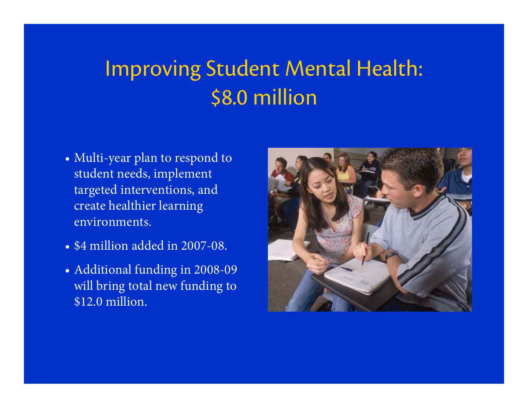## Improving Student Mental Health: \$8.0 million

- Multi-year plan to respond to student needs, implement targeted interventions, and create healthier learning environments.
- \$4 million added in 2007-08.
- Additional funding in 2008-09 will bring total new funding to \$12.0 million.

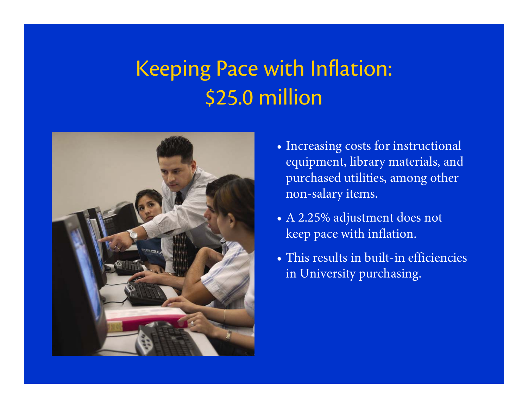## Keeping Pace with Inflation: \$25.0 million



- Increasing costs for instructional equipment, library materials, and purchased utilities, among other non-salary items.
- A 2.25% adjustment does not keep pace with inflation.
- This results in built-in efficiencies in University purchasing.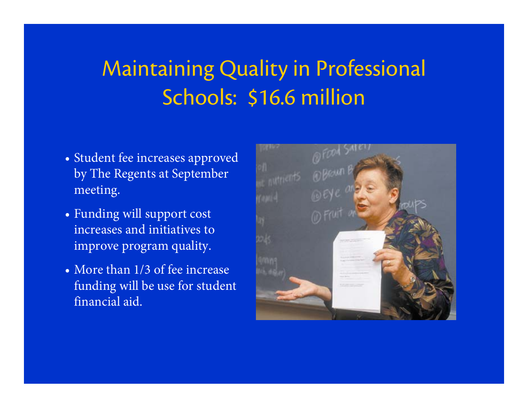# Maintaining Quality in Professional Schools: \$16.6 million

- Student fee increases approved by The Regents at September meeting.
- Funding will support cost increases and initiatives to improve program quality.
- More than 1/3 of fee increase funding will be use for student financial aid.

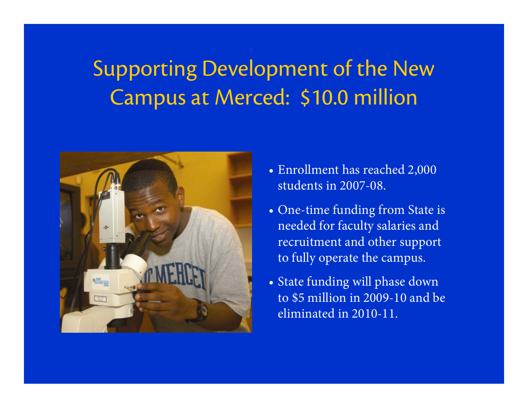## Supporting Development of the New Campus at Merced: \$10.0 million



- Enrollment has reached 2,000 students in 2007-08.
- One-time funding from State is needed for faculty salaries and recruitment and other support to fully operate the campus.
- State funding will phase down to \$5 million in 2009-10 and be eliminated in 2010-11.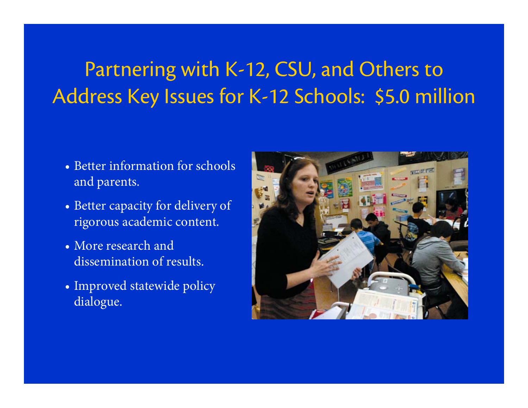#### Partnering with K-12, CSU, and Others to Address Key Issues for K-12 Schools: \$5.0 million

- Better information for schools and parents.
- Better capacity for delivery of rigorous academic content.
- More research and dissemination of results.
- Improved statewide policy dialogue.

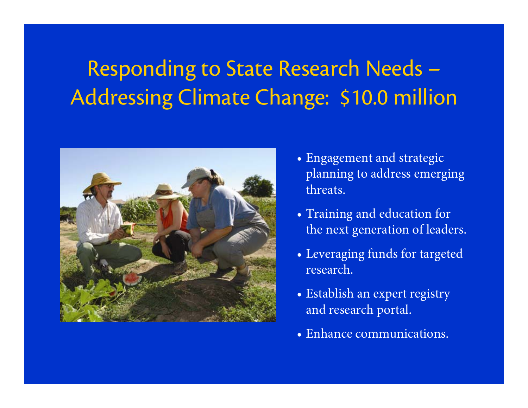# Responding to State Research Needs – Addressing Climate Change: \$10.0 million



- Engagement and strategic planning to address emerging threats.
- Training and education for the next generation of leaders.
- Leveraging funds for targeted research.
- Establish an expert registry and research portal.
- Enhance communications.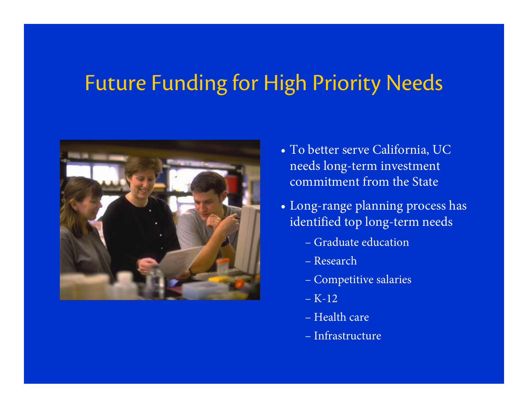#### Future Funding for High Priority Needs



- To better serve California, UC needs long-term investment commitment from the State
- Long-range planning process has identified top long-term needs
	- Graduate education
	- Research
	- Competitive salaries
	- K-12
	- Health care
	- Infrastructure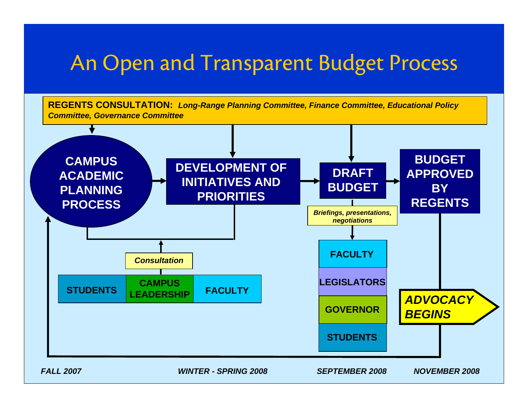#### An Open and Transparent Budget Process